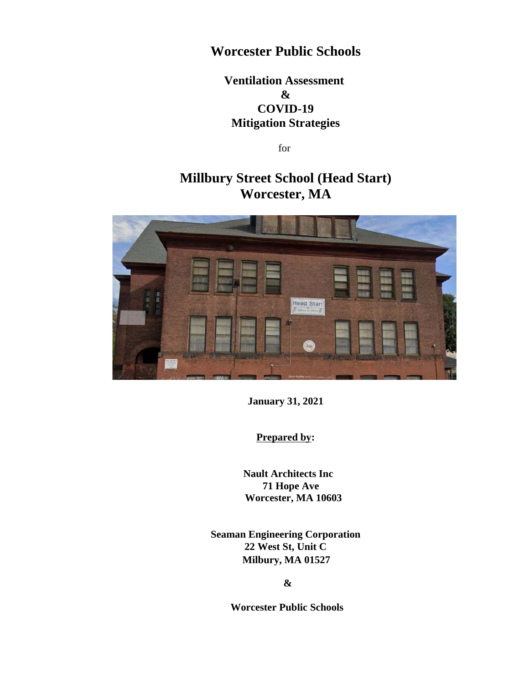## **Worcester Public Schools**

## **Ventilation Assessment & COVID-19 Mitigation Strategies**

for

# **Millbury Street School (Head Start) Worcester, MA**



**January 31, 2021**

**Prepared by:**

 **Nault Architects Inc 71 Hope Ave Worcester, MA 10603**

**Seaman Engineering Corporation 22 West St, Unit C Milbury, MA 01527**

**&**

**Worcester Public Schools**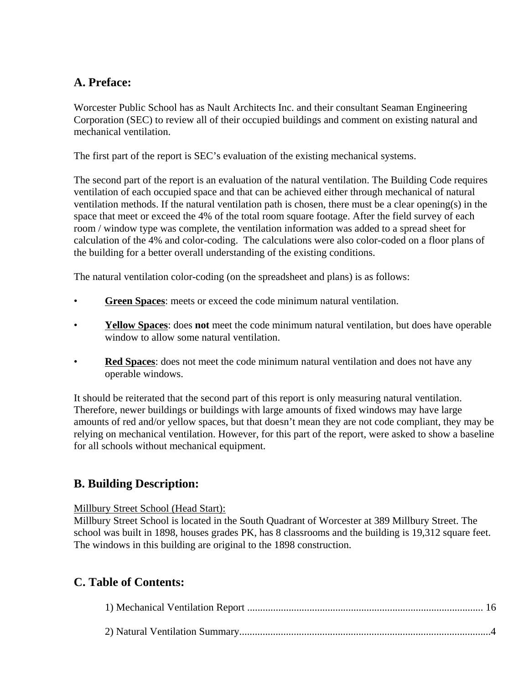## **A. Preface:**

Worcester Public School has as Nault Architects Inc. and their consultant Seaman Engineering Corporation (SEC) to review all of their occupied buildings and comment on existing natural and mechanical ventilation.

The first part of the report is SEC's evaluation of the existing mechanical systems.

The second part of the report is an evaluation of the natural ventilation. The Building Code requires ventilation of each occupied space and that can be achieved either through mechanical of natural ventilation methods. If the natural ventilation path is chosen, there must be a clear opening(s) in the space that meet or exceed the 4% of the total room square footage. After the field survey of each room / window type was complete, the ventilation information was added to a spread sheet for calculation of the 4% and color-coding. The calculations were also color-coded on a floor plans of the building for a better overall understanding of the existing conditions.

The natural ventilation color-coding (on the spreadsheet and plans) is as follows:

- **Green Spaces**: meets or exceed the code minimum natural ventilation.
- **Yellow Spaces**: does **not** meet the code minimum natural ventilation, but does have operable window to allow some natural ventilation.
- **Red Spaces**: does not meet the code minimum natural ventilation and does not have any operable windows.

It should be reiterated that the second part of this report is only measuring natural ventilation. Therefore, newer buildings or buildings with large amounts of fixed windows may have large amounts of red and/or yellow spaces, but that doesn't mean they are not code compliant, they may be relying on mechanical ventilation. However, for this part of the report, were asked to show a baseline for all schools without mechanical equipment.

## **B. Building Description:**

#### Millbury Street School (Head Start):

Millbury Street School is located in the South Quadrant of Worcester at 389 Millbury Street. The school was built in 1898, houses grades PK, has 8 classrooms and the building is 19,312 square feet. The windows in this building are original to the 1898 construction.

## **C. Table of Contents:**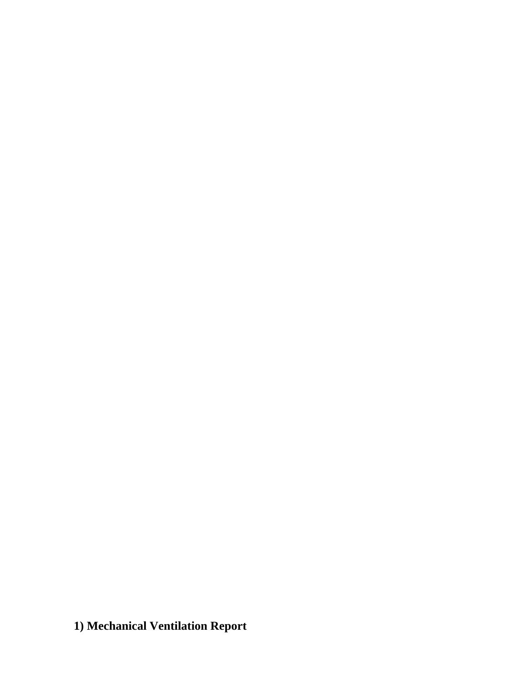**1) Mechanical Ventilation Report**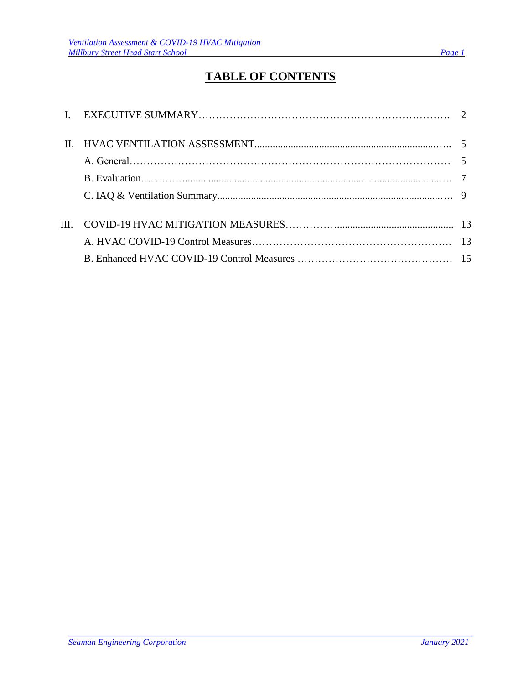# **TABLE OF CONTENTS**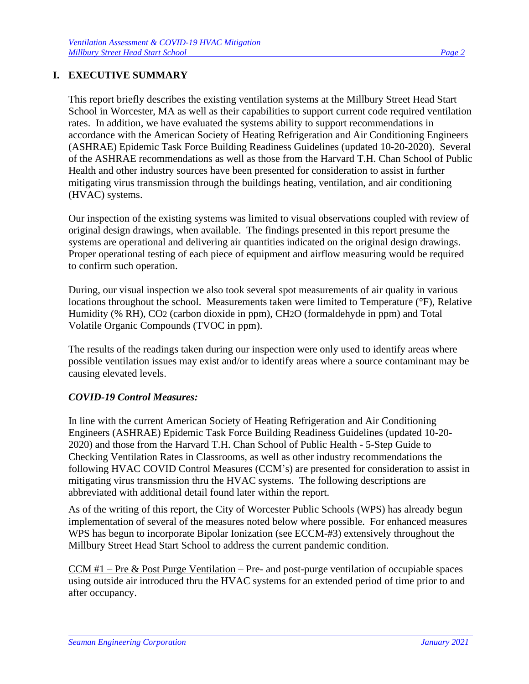#### **I. EXECUTIVE SUMMARY**

This report briefly describes the existing ventilation systems at the Millbury Street Head Start School in Worcester, MA as well as their capabilities to support current code required ventilation rates. In addition, we have evaluated the systems ability to support recommendations in accordance with the American Society of Heating Refrigeration and Air Conditioning Engineers (ASHRAE) Epidemic Task Force Building Readiness Guidelines (updated 10-20-2020). Several of the ASHRAE recommendations as well as those from the Harvard T.H. Chan School of Public Health and other industry sources have been presented for consideration to assist in further mitigating virus transmission through the buildings heating, ventilation, and air conditioning (HVAC) systems.

Our inspection of the existing systems was limited to visual observations coupled with review of original design drawings, when available. The findings presented in this report presume the systems are operational and delivering air quantities indicated on the original design drawings. Proper operational testing of each piece of equipment and airflow measuring would be required to confirm such operation.

During, our visual inspection we also took several spot measurements of air quality in various locations throughout the school. Measurements taken were limited to Temperature (°F), Relative Humidity (% RH), CO2 (carbon dioxide in ppm), CH2O (formaldehyde in ppm) and Total Volatile Organic Compounds (TVOC in ppm).

The results of the readings taken during our inspection were only used to identify areas where possible ventilation issues may exist and/or to identify areas where a source contaminant may be causing elevated levels.

#### *COVID-19 Control Measures:*

In line with the current American Society of Heating Refrigeration and Air Conditioning Engineers (ASHRAE) Epidemic Task Force Building Readiness Guidelines (updated 10-20- 2020) and those from the Harvard T.H. Chan School of Public Health - 5-Step Guide to Checking Ventilation Rates in Classrooms, as well as other industry recommendations the following HVAC COVID Control Measures (CCM's) are presented for consideration to assist in mitigating virus transmission thru the HVAC systems. The following descriptions are abbreviated with additional detail found later within the report.

As of the writing of this report, the City of Worcester Public Schools (WPS) has already begun implementation of several of the measures noted below where possible. For enhanced measures WPS has begun to incorporate Bipolar Ionization (see ECCM-#3) extensively throughout the Millbury Street Head Start School to address the current pandemic condition.

<u>CCM  $#1$  – Pre & Post Purge Ventilation</u> – Pre- and post-purge ventilation of occupiable spaces using outside air introduced thru the HVAC systems for an extended period of time prior to and after occupancy.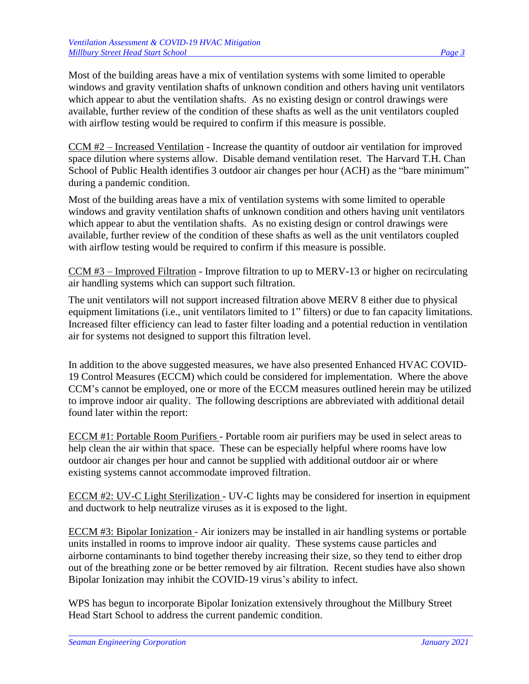Most of the building areas have a mix of ventilation systems with some limited to operable windows and gravity ventilation shafts of unknown condition and others having unit ventilators which appear to abut the ventilation shafts. As no existing design or control drawings were available, further review of the condition of these shafts as well as the unit ventilators coupled with airflow testing would be required to confirm if this measure is possible.

CCM #2 – Increased Ventilation - Increase the quantity of outdoor air ventilation for improved space dilution where systems allow. Disable demand ventilation reset. The Harvard T.H. Chan School of Public Health identifies 3 outdoor air changes per hour (ACH) as the "bare minimum" during a pandemic condition.

Most of the building areas have a mix of ventilation systems with some limited to operable windows and gravity ventilation shafts of unknown condition and others having unit ventilators which appear to abut the ventilation shafts. As no existing design or control drawings were available, further review of the condition of these shafts as well as the unit ventilators coupled with airflow testing would be required to confirm if this measure is possible.

CCM #3 – Improved Filtration - Improve filtration to up to MERV-13 or higher on recirculating air handling systems which can support such filtration.

The unit ventilators will not support increased filtration above MERV 8 either due to physical equipment limitations (i.e., unit ventilators limited to 1" filters) or due to fan capacity limitations. Increased filter efficiency can lead to faster filter loading and a potential reduction in ventilation air for systems not designed to support this filtration level.

In addition to the above suggested measures, we have also presented Enhanced HVAC COVID-19 Control Measures (ECCM) which could be considered for implementation. Where the above CCM's cannot be employed, one or more of the ECCM measures outlined herein may be utilized to improve indoor air quality. The following descriptions are abbreviated with additional detail found later within the report:

ECCM #1: Portable Room Purifiers - Portable room air purifiers may be used in select areas to help clean the air within that space. These can be especially helpful where rooms have low outdoor air changes per hour and cannot be supplied with additional outdoor air or where existing systems cannot accommodate improved filtration.

ECCM #2: UV-C Light Sterilization - UV-C lights may be considered for insertion in equipment and ductwork to help neutralize viruses as it is exposed to the light.

ECCM #3: Bipolar Ionization - Air ionizers may be installed in air handling systems or portable units installed in rooms to improve indoor air quality. These systems cause particles and airborne contaminants to bind together thereby increasing their size, so they tend to either drop out of the breathing zone or be better removed by air filtration. Recent studies have also shown Bipolar Ionization may inhibit the COVID-19 virus's ability to infect.

WPS has begun to incorporate Bipolar Ionization extensively throughout the Millbury Street Head Start School to address the current pandemic condition.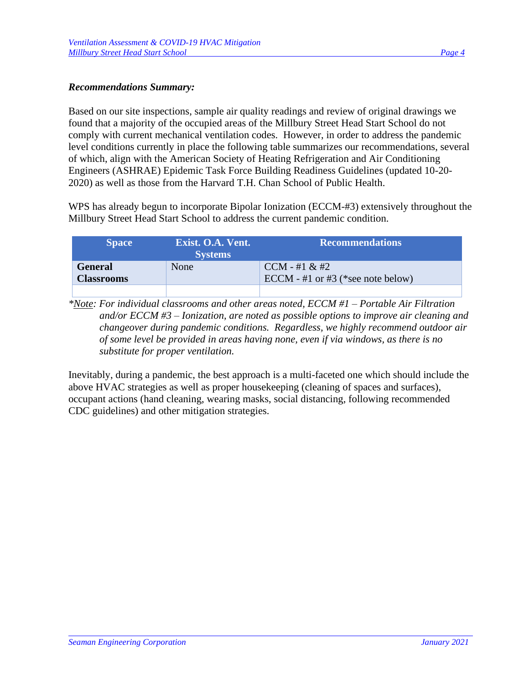#### *Recommendations Summary:*

Based on our site inspections, sample air quality readings and review of original drawings we found that a majority of the occupied areas of the Millbury Street Head Start School do not comply with current mechanical ventilation codes. However, in order to address the pandemic level conditions currently in place the following table summarizes our recommendations, several of which, align with the American Society of Heating Refrigeration and Air Conditioning Engineers (ASHRAE) Epidemic Task Force Building Readiness Guidelines (updated 10-20- 2020) as well as those from the Harvard T.H. Chan School of Public Health.

WPS has already begun to incorporate Bipolar Ionization (ECCM-#3) extensively throughout the Millbury Street Head Start School to address the current pandemic condition.

| <b>Space</b>                        | Exist. O.A. Vent.<br><b>Systems</b> | <b>Recommendations</b>                                |
|-------------------------------------|-------------------------------------|-------------------------------------------------------|
| <b>General</b><br><b>Classrooms</b> | None                                | $CCM - #1 & 2#2$<br>ECCM - #1 or #3 (*see note below) |
|                                     |                                     |                                                       |

*\*Note: For individual classrooms and other areas noted, ECCM #1 – Portable Air Filtration and/or ECCM #3 – Ionization, are noted as possible options to improve air cleaning and changeover during pandemic conditions. Regardless, we highly recommend outdoor air of some level be provided in areas having none, even if via windows, as there is no substitute for proper ventilation.*

Inevitably, during a pandemic, the best approach is a multi-faceted one which should include the above HVAC strategies as well as proper housekeeping (cleaning of spaces and surfaces), occupant actions (hand cleaning, wearing masks, social distancing, following recommended CDC guidelines) and other mitigation strategies.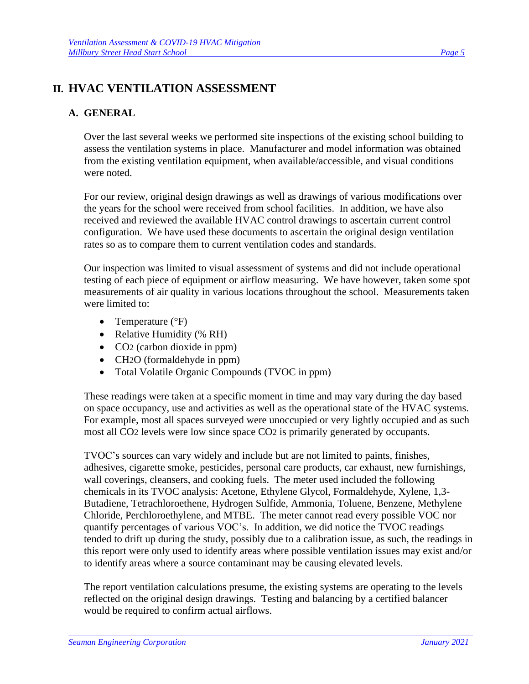## **II. HVAC VENTILATION ASSESSMENT**

## **A. GENERAL**

Over the last several weeks we performed site inspections of the existing school building to assess the ventilation systems in place. Manufacturer and model information was obtained from the existing ventilation equipment, when available/accessible, and visual conditions were noted.

For our review, original design drawings as well as drawings of various modifications over the years for the school were received from school facilities. In addition, we have also received and reviewed the available HVAC control drawings to ascertain current control configuration. We have used these documents to ascertain the original design ventilation rates so as to compare them to current ventilation codes and standards.

Our inspection was limited to visual assessment of systems and did not include operational testing of each piece of equipment or airflow measuring. We have however, taken some spot measurements of air quality in various locations throughout the school. Measurements taken were limited to:

- Temperature  $(^{\circ}F)$
- Relative Humidity (% RH)
- CO<sub>2</sub> (carbon dioxide in ppm)
- CH2O (formaldehyde in ppm)
- Total Volatile Organic Compounds (TVOC in ppm)

These readings were taken at a specific moment in time and may vary during the day based on space occupancy, use and activities as well as the operational state of the HVAC systems. For example, most all spaces surveyed were unoccupied or very lightly occupied and as such most all CO2 levels were low since space CO2 is primarily generated by occupants.

TVOC's sources can vary widely and include but are not limited to paints, finishes, adhesives, cigarette smoke, pesticides, personal care products, car exhaust, new furnishings, wall coverings, cleansers, and cooking fuels. The meter used included the following chemicals in its TVOC analysis: Acetone, Ethylene Glycol, Formaldehyde, Xylene, 1,3- Butadiene, Tetrachloroethene, Hydrogen Sulfide, Ammonia, Toluene, Benzene, Methylene Chloride, Perchloroethylene, and MTBE. The meter cannot read every possible VOC nor quantify percentages of various VOC's. In addition, we did notice the TVOC readings tended to drift up during the study, possibly due to a calibration issue, as such, the readings in this report were only used to identify areas where possible ventilation issues may exist and/or to identify areas where a source contaminant may be causing elevated levels.

The report ventilation calculations presume, the existing systems are operating to the levels reflected on the original design drawings. Testing and balancing by a certified balancer would be required to confirm actual airflows.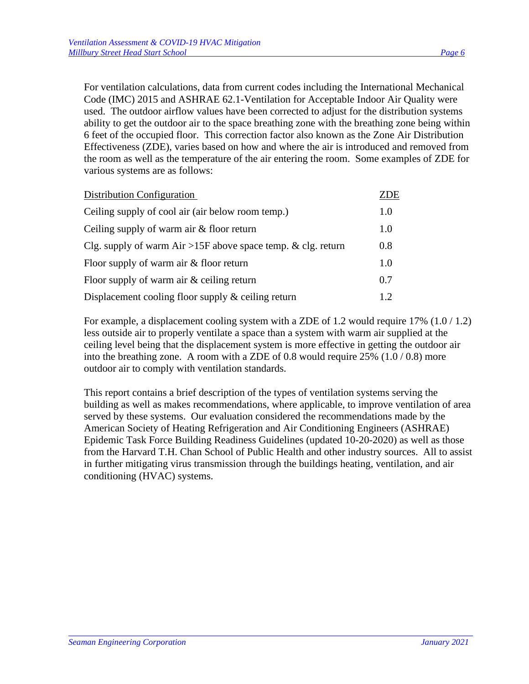various systems are as follows:

For ventilation calculations, data from current codes including the International Mechanical Code (IMC) 2015 and ASHRAE 62.1-Ventilation for Acceptable Indoor Air Quality were used. The outdoor airflow values have been corrected to adjust for the distribution systems ability to get the outdoor air to the space breathing zone with the breathing zone being within 6 feet of the occupied floor. This correction factor also known as the Zone Air Distribution Effectiveness (ZDE), varies based on how and where the air is introduced and removed from the room as well as the temperature of the air entering the room. Some examples of ZDE for

| Distribution Configuration                                   | ZDE |
|--------------------------------------------------------------|-----|
| Ceiling supply of cool air (air below room temp.)            | 1.0 |
| Ceiling supply of warm air & floor return                    | 1.0 |
| Clg. supply of warm Air >15F above space temp. & clg. return | 0.8 |
| Floor supply of warm air $&$ floor return                    | 1.0 |
| Floor supply of warm air $\&$ ceiling return                 | 0.7 |
| Displacement cooling floor supply $\&$ ceiling return        | 12  |

For example, a displacement cooling system with a ZDE of 1.2 would require 17% (1.0 / 1.2) less outside air to properly ventilate a space than a system with warm air supplied at the ceiling level being that the displacement system is more effective in getting the outdoor air into the breathing zone. A room with a ZDE of 0.8 would require 25% (1.0 / 0.8) more outdoor air to comply with ventilation standards.

This report contains a brief description of the types of ventilation systems serving the building as well as makes recommendations, where applicable, to improve ventilation of area served by these systems. Our evaluation considered the recommendations made by the American Society of Heating Refrigeration and Air Conditioning Engineers (ASHRAE) Epidemic Task Force Building Readiness Guidelines (updated 10-20-2020) as well as those from the Harvard T.H. Chan School of Public Health and other industry sources. All to assist in further mitigating virus transmission through the buildings heating, ventilation, and air conditioning (HVAC) systems.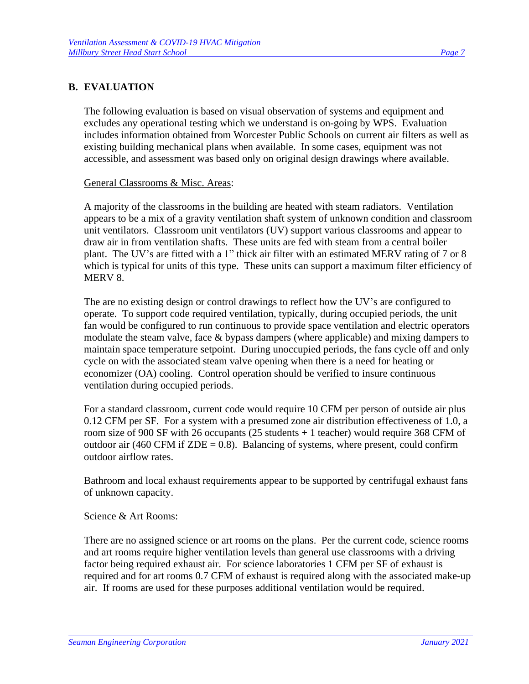#### **B. EVALUATION**

The following evaluation is based on visual observation of systems and equipment and excludes any operational testing which we understand is on-going by WPS. Evaluation includes information obtained from Worcester Public Schools on current air filters as well as existing building mechanical plans when available. In some cases, equipment was not accessible, and assessment was based only on original design drawings where available.

#### General Classrooms & Misc. Areas:

A majority of the classrooms in the building are heated with steam radiators. Ventilation appears to be a mix of a gravity ventilation shaft system of unknown condition and classroom unit ventilators. Classroom unit ventilators (UV) support various classrooms and appear to draw air in from ventilation shafts. These units are fed with steam from a central boiler plant. The UV's are fitted with a 1" thick air filter with an estimated MERV rating of 7 or 8 which is typical for units of this type. These units can support a maximum filter efficiency of MERV 8.

The are no existing design or control drawings to reflect how the UV's are configured to operate. To support code required ventilation, typically, during occupied periods, the unit fan would be configured to run continuous to provide space ventilation and electric operators modulate the steam valve, face & bypass dampers (where applicable) and mixing dampers to maintain space temperature setpoint. During unoccupied periods, the fans cycle off and only cycle on with the associated steam valve opening when there is a need for heating or economizer (OA) cooling. Control operation should be verified to insure continuous ventilation during occupied periods.

For a standard classroom, current code would require 10 CFM per person of outside air plus 0.12 CFM per SF. For a system with a presumed zone air distribution effectiveness of 1.0, a room size of 900 SF with 26 occupants (25 students + 1 teacher) would require 368 CFM of outdoor air (460 CFM if  $ZDE = 0.8$ ). Balancing of systems, where present, could confirm outdoor airflow rates.

Bathroom and local exhaust requirements appear to be supported by centrifugal exhaust fans of unknown capacity.

#### Science & Art Rooms:

There are no assigned science or art rooms on the plans. Per the current code, science rooms and art rooms require higher ventilation levels than general use classrooms with a driving factor being required exhaust air. For science laboratories 1 CFM per SF of exhaust is required and for art rooms 0.7 CFM of exhaust is required along with the associated make-up air. If rooms are used for these purposes additional ventilation would be required.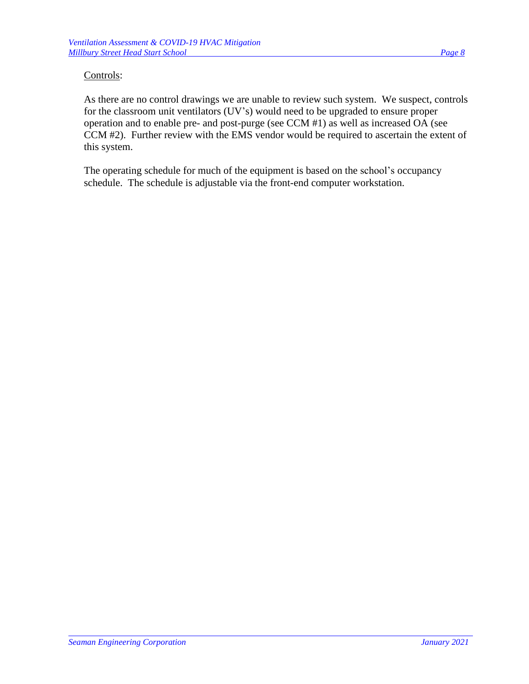#### Controls:

As there are no control drawings we are unable to review such system. We suspect, controls for the classroom unit ventilators (UV's) would need to be upgraded to ensure proper operation and to enable pre- and post-purge (see CCM #1) as well as increased OA (see CCM #2). Further review with the EMS vendor would be required to ascertain the extent of this system.

The operating schedule for much of the equipment is based on the school's occupancy schedule. The schedule is adjustable via the front-end computer workstation.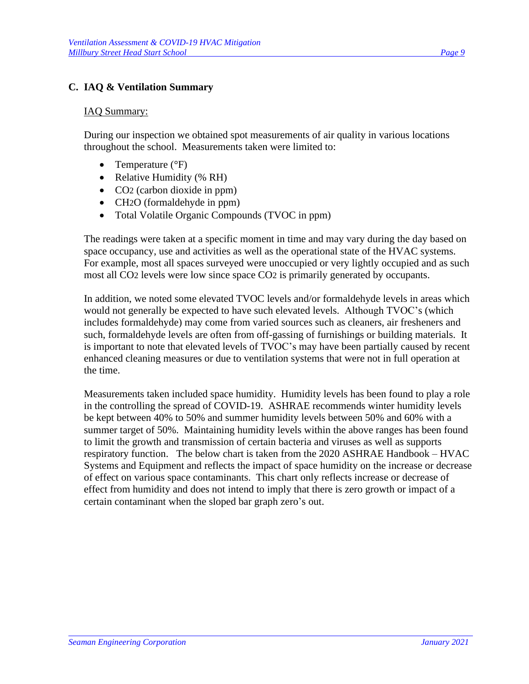#### **C. IAQ & Ventilation Summary**

#### IAQ Summary:

During our inspection we obtained spot measurements of air quality in various locations throughout the school. Measurements taken were limited to:

- Temperature (°F)
- Relative Humidity (% RH)
- CO<sub>2</sub> (carbon dioxide in ppm)
- CH<sub>2</sub>O (formaldehyde in ppm)
- Total Volatile Organic Compounds (TVOC in ppm)

The readings were taken at a specific moment in time and may vary during the day based on space occupancy, use and activities as well as the operational state of the HVAC systems. For example, most all spaces surveyed were unoccupied or very lightly occupied and as such most all CO2 levels were low since space CO2 is primarily generated by occupants.

In addition, we noted some elevated TVOC levels and/or formaldehyde levels in areas which would not generally be expected to have such elevated levels. Although TVOC's (which includes formaldehyde) may come from varied sources such as cleaners, air fresheners and such, formaldehyde levels are often from off-gassing of furnishings or building materials. It is important to note that elevated levels of TVOC's may have been partially caused by recent enhanced cleaning measures or due to ventilation systems that were not in full operation at the time.

Measurements taken included space humidity. Humidity levels has been found to play a role in the controlling the spread of COVID-19. ASHRAE recommends winter humidity levels be kept between 40% to 50% and summer humidity levels between 50% and 60% with a summer target of 50%. Maintaining humidity levels within the above ranges has been found to limit the growth and transmission of certain bacteria and viruses as well as supports respiratory function. The below chart is taken from the 2020 ASHRAE Handbook – HVAC Systems and Equipment and reflects the impact of space humidity on the increase or decrease of effect on various space contaminants. This chart only reflects increase or decrease of effect from humidity and does not intend to imply that there is zero growth or impact of a certain contaminant when the sloped bar graph zero's out.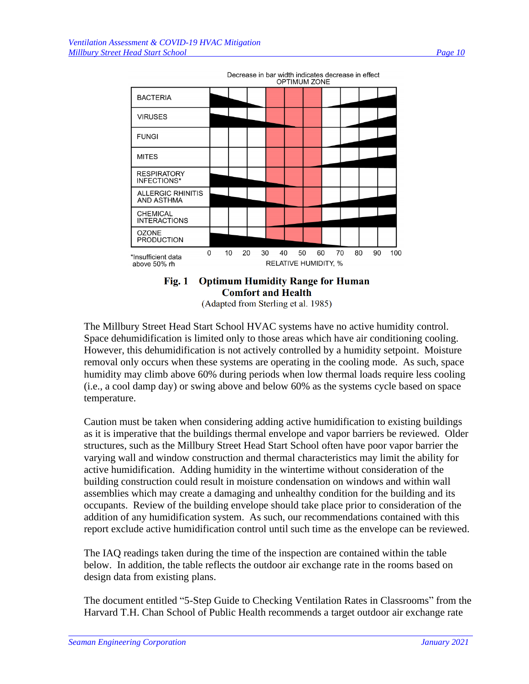

Decrease in bar width indicates decrease in effect



(Adapted from Sterling et al. 1985)

The Millbury Street Head Start School HVAC systems have no active humidity control. Space dehumidification is limited only to those areas which have air conditioning cooling. However, this dehumidification is not actively controlled by a humidity setpoint. Moisture removal only occurs when these systems are operating in the cooling mode. As such, space humidity may climb above 60% during periods when low thermal loads require less cooling (i.e., a cool damp day) or swing above and below 60% as the systems cycle based on space temperature.

Caution must be taken when considering adding active humidification to existing buildings as it is imperative that the buildings thermal envelope and vapor barriers be reviewed. Older structures, such as the Millbury Street Head Start School often have poor vapor barrier the varying wall and window construction and thermal characteristics may limit the ability for active humidification. Adding humidity in the wintertime without consideration of the building construction could result in moisture condensation on windows and within wall assemblies which may create a damaging and unhealthy condition for the building and its occupants. Review of the building envelope should take place prior to consideration of the addition of any humidification system. As such, our recommendations contained with this report exclude active humidification control until such time as the envelope can be reviewed.

The IAQ readings taken during the time of the inspection are contained within the table below. In addition, the table reflects the outdoor air exchange rate in the rooms based on design data from existing plans.

The document entitled "5-Step Guide to Checking Ventilation Rates in Classrooms" from the Harvard T.H. Chan School of Public Health recommends a target outdoor air exchange rate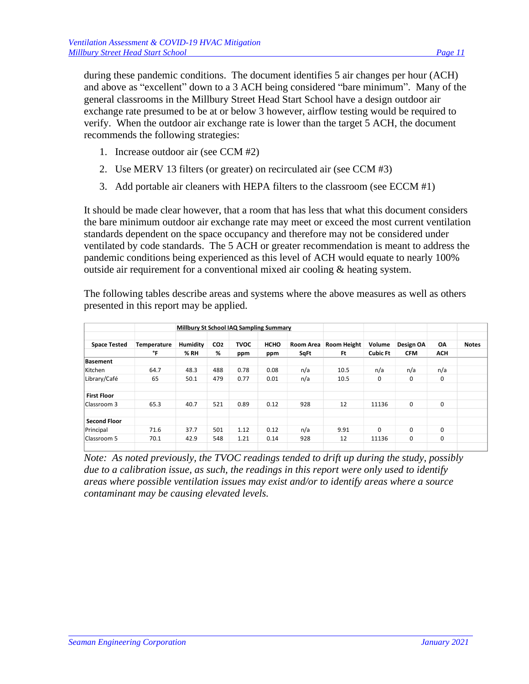during these pandemic conditions. The document identifies 5 air changes per hour (ACH) and above as "excellent" down to a 3 ACH being considered "bare minimum". Many of the general classrooms in the Millbury Street Head Start School have a design outdoor air exchange rate presumed to be at or below 3 however, airflow testing would be required to verify. When the outdoor air exchange rate is lower than the target 5 ACH, the document recommends the following strategies:

- 1. Increase outdoor air (see CCM #2)
- 2. Use MERV 13 filters (or greater) on recirculated air (see CCM #3)
- 3. Add portable air cleaners with HEPA filters to the classroom (see ECCM #1)

It should be made clear however, that a room that has less that what this document considers the bare minimum outdoor air exchange rate may meet or exceed the most current ventilation standards dependent on the space occupancy and therefore may not be considered under ventilated by code standards. The 5 ACH or greater recommendation is meant to address the pandemic conditions being experienced as this level of ACH would equate to nearly 100% outside air requirement for a conventional mixed air cooling & heating system.

The following tables describe areas and systems where the above measures as well as others presented in this report may be applied.

|                     |             | Millbury St School IAQ Sampling Summary |                 |             |             |           |             |                 |            |            |              |
|---------------------|-------------|-----------------------------------------|-----------------|-------------|-------------|-----------|-------------|-----------------|------------|------------|--------------|
| <b>Space Tested</b> | Temperature | Humidity                                | CO <sub>2</sub> | <b>TVOC</b> | <b>HCHO</b> | Room Area | Room Height | Volume          | Design OA  | <b>OA</b>  | <b>Notes</b> |
|                     | °F          | % RH                                    | %               | ppm         | ppm         | SqFt      | Ft          | <b>Cubic Ft</b> | <b>CFM</b> | <b>ACH</b> |              |
| <b>Basement</b>     |             |                                         |                 |             |             |           |             |                 |            |            |              |
| Kitchen             | 64.7        | 48.3                                    | 488             | 0.78        | 0.08        | n/a       | 10.5        | n/a             | n/a        | n/a        |              |
| Library/Café        | 65          | 50.1                                    | 479             | 0.77        | 0.01        | n/a       | 10.5        | 0               | 0          | 0          |              |
| <b>First Floor</b>  |             |                                         |                 |             |             |           |             |                 |            |            |              |
| Classroom 3         | 65.3        | 40.7                                    | 521             | 0.89        | 0.12        | 928       | 12          | 11136           | 0          | 0          |              |
| <b>Second Floor</b> |             |                                         |                 |             |             |           |             |                 |            |            |              |
| Principal           | 71.6        | 37.7                                    | 501             | 1.12        | 0.12        | n/a       | 9.91        | 0               | $\Omega$   | 0          |              |
| Classroom 5         | 70.1        | 42.9                                    | 548             | 1.21        | 0.14        | 928       | 12          | 11136           | 0          | 0          |              |
|                     |             |                                         |                 |             |             |           |             |                 |            |            |              |

*Note: As noted previously, the TVOC readings tended to drift up during the study, possibly due to a calibration issue, as such, the readings in this report were only used to identify areas where possible ventilation issues may exist and/or to identify areas where a source contaminant may be causing elevated levels.*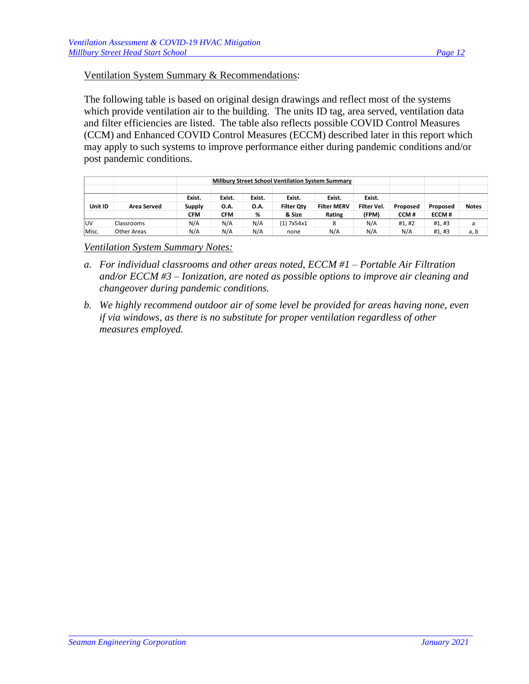#### Ventilation System Summary & Recommendations:

The following table is based on original design drawings and reflect most of the systems which provide ventilation air to the building. The units ID tag, area served, ventilation data and filter efficiencies are listed. The table also reflects possible COVID Control Measures (CCM) and Enhanced COVID Control Measures (ECCM) described later in this report which may apply to such systems to improve performance either during pandemic conditions and/or post pandemic conditions.

|           |                    |            |             |        | Millbury Street School Ventilation System Summary |                    |             |          |              |              |
|-----------|--------------------|------------|-------------|--------|---------------------------------------------------|--------------------|-------------|----------|--------------|--------------|
|           |                    | Exist.     | Exist.      | Exist. | Exist.                                            | Exist.             | Exist.      |          |              |              |
| Unit ID   | <b>Area Served</b> | Supply     | <b>O.A.</b> | 0.A.   | <b>Filter Qtv</b>                                 | <b>Filter MERV</b> | Filter Vel. | Proposed | Proposed     | <b>Notes</b> |
|           |                    | <b>CFM</b> | CFM         | %      | & Size                                            | Rating             | (FPM)       | CCM#     | <b>ECCM#</b> |              |
| <b>UV</b> | Classrooms         | N/A        | N/A         | N/A    | (1) 7x54x1                                        | 8                  | N/A         | #1.#2    | #1,#3        | a            |
| Misc.     | Other Areas        | N/A        | N/A         | N/A    | none                                              | N/A                | N/A         | N/A      | #1,#3        | a, b         |

*Ventilation System Summary Notes:*

- *a. For individual classrooms and other areas noted, ECCM #1 – Portable Air Filtration and/or ECCM #3 – Ionization, are noted as possible options to improve air cleaning and changeover during pandemic conditions.*
- *b. We highly recommend outdoor air of some level be provided for areas having none, even if via windows, as there is no substitute for proper ventilation regardless of other measures employed.*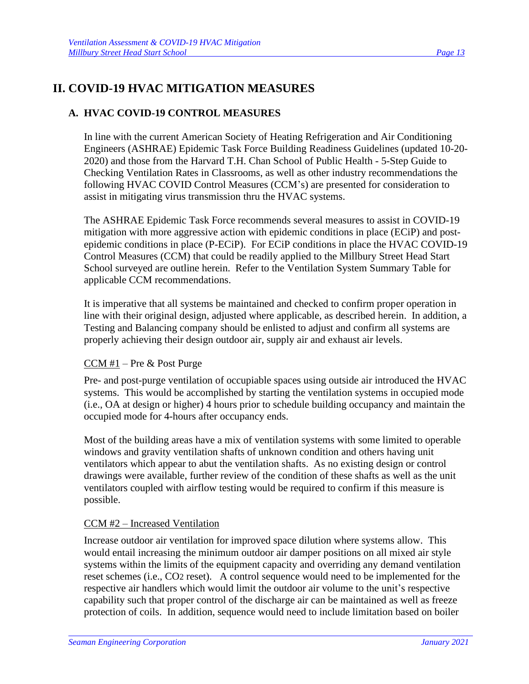## **II. COVID-19 HVAC MITIGATION MEASURES**

## **A. HVAC COVID-19 CONTROL MEASURES**

In line with the current American Society of Heating Refrigeration and Air Conditioning Engineers (ASHRAE) Epidemic Task Force Building Readiness Guidelines (updated 10-20- 2020) and those from the Harvard T.H. Chan School of Public Health - 5-Step Guide to Checking Ventilation Rates in Classrooms, as well as other industry recommendations the following HVAC COVID Control Measures (CCM's) are presented for consideration to assist in mitigating virus transmission thru the HVAC systems.

The ASHRAE Epidemic Task Force recommends several measures to assist in COVID-19 mitigation with more aggressive action with epidemic conditions in place (ECiP) and postepidemic conditions in place (P-ECiP). For ECiP conditions in place the HVAC COVID-19 Control Measures (CCM) that could be readily applied to the Millbury Street Head Start School surveyed are outline herein. Refer to the Ventilation System Summary Table for applicable CCM recommendations.

It is imperative that all systems be maintained and checked to confirm proper operation in line with their original design, adjusted where applicable, as described herein. In addition, a Testing and Balancing company should be enlisted to adjust and confirm all systems are properly achieving their design outdoor air, supply air and exhaust air levels.

#### CCM #1 – Pre & Post Purge

Pre- and post-purge ventilation of occupiable spaces using outside air introduced the HVAC systems. This would be accomplished by starting the ventilation systems in occupied mode (i.e., OA at design or higher) 4 hours prior to schedule building occupancy and maintain the occupied mode for 4-hours after occupancy ends.

Most of the building areas have a mix of ventilation systems with some limited to operable windows and gravity ventilation shafts of unknown condition and others having unit ventilators which appear to abut the ventilation shafts. As no existing design or control drawings were available, further review of the condition of these shafts as well as the unit ventilators coupled with airflow testing would be required to confirm if this measure is possible.

### CCM #2 – Increased Ventilation

Increase outdoor air ventilation for improved space dilution where systems allow. This would entail increasing the minimum outdoor air damper positions on all mixed air style systems within the limits of the equipment capacity and overriding any demand ventilation reset schemes (i.e., CO2 reset). A control sequence would need to be implemented for the respective air handlers which would limit the outdoor air volume to the unit's respective capability such that proper control of the discharge air can be maintained as well as freeze protection of coils. In addition, sequence would need to include limitation based on boiler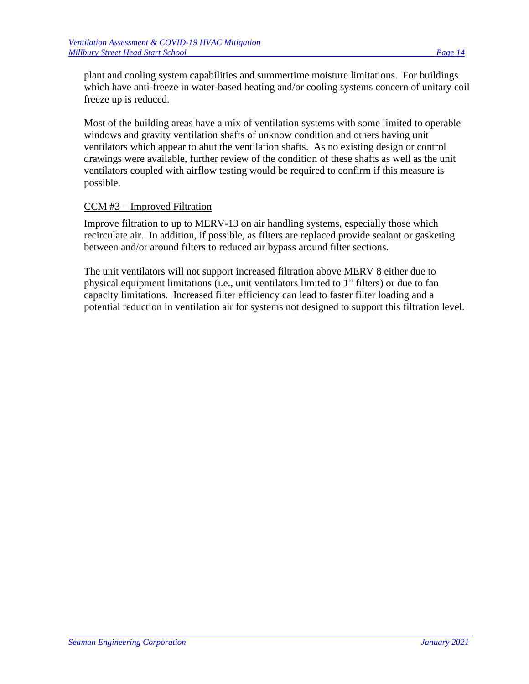plant and cooling system capabilities and summertime moisture limitations. For buildings which have anti-freeze in water-based heating and/or cooling systems concern of unitary coil freeze up is reduced.

Most of the building areas have a mix of ventilation systems with some limited to operable windows and gravity ventilation shafts of unknow condition and others having unit ventilators which appear to abut the ventilation shafts. As no existing design or control drawings were available, further review of the condition of these shafts as well as the unit ventilators coupled with airflow testing would be required to confirm if this measure is possible.

#### CCM #3 – Improved Filtration

Improve filtration to up to MERV-13 on air handling systems, especially those which recirculate air. In addition, if possible, as filters are replaced provide sealant or gasketing between and/or around filters to reduced air bypass around filter sections.

The unit ventilators will not support increased filtration above MERV 8 either due to physical equipment limitations (i.e., unit ventilators limited to 1" filters) or due to fan capacity limitations. Increased filter efficiency can lead to faster filter loading and a potential reduction in ventilation air for systems not designed to support this filtration level.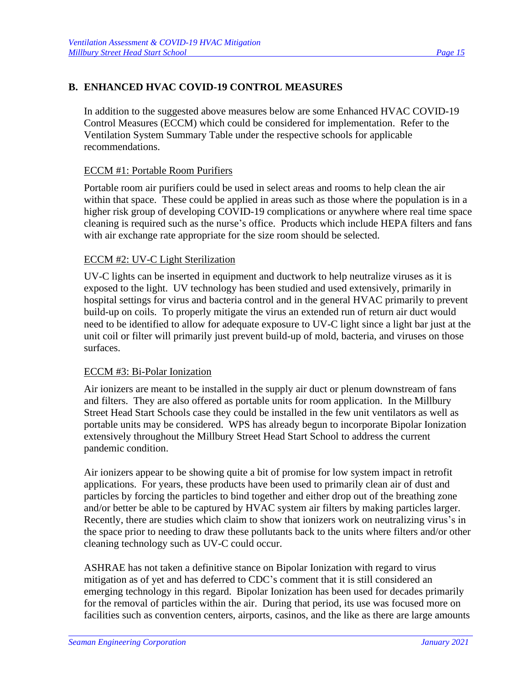#### **B. ENHANCED HVAC COVID-19 CONTROL MEASURES**

In addition to the suggested above measures below are some Enhanced HVAC COVID-19 Control Measures (ECCM) which could be considered for implementation. Refer to the Ventilation System Summary Table under the respective schools for applicable recommendations.

#### ECCM #1: Portable Room Purifiers

Portable room air purifiers could be used in select areas and rooms to help clean the air within that space. These could be applied in areas such as those where the population is in a higher risk group of developing COVID-19 complications or anywhere where real time space cleaning is required such as the nurse's office. Products which include HEPA filters and fans with air exchange rate appropriate for the size room should be selected.

#### ECCM #2: UV-C Light Sterilization

UV-C lights can be inserted in equipment and ductwork to help neutralize viruses as it is exposed to the light. UV technology has been studied and used extensively, primarily in hospital settings for virus and bacteria control and in the general HVAC primarily to prevent build-up on coils. To properly mitigate the virus an extended run of return air duct would need to be identified to allow for adequate exposure to UV-C light since a light bar just at the unit coil or filter will primarily just prevent build-up of mold, bacteria, and viruses on those surfaces.

#### ECCM #3: Bi-Polar Ionization

Air ionizers are meant to be installed in the supply air duct or plenum downstream of fans and filters. They are also offered as portable units for room application. In the Millbury Street Head Start Schools case they could be installed in the few unit ventilators as well as portable units may be considered. WPS has already begun to incorporate Bipolar Ionization extensively throughout the Millbury Street Head Start School to address the current pandemic condition.

Air ionizers appear to be showing quite a bit of promise for low system impact in retrofit applications. For years, these products have been used to primarily clean air of dust and particles by forcing the particles to bind together and either drop out of the breathing zone and/or better be able to be captured by HVAC system air filters by making particles larger. Recently, there are studies which claim to show that ionizers work on neutralizing virus's in the space prior to needing to draw these pollutants back to the units where filters and/or other cleaning technology such as UV-C could occur.

ASHRAE has not taken a definitive stance on Bipolar Ionization with regard to virus mitigation as of yet and has deferred to CDC's comment that it is still considered an emerging technology in this regard. Bipolar Ionization has been used for decades primarily for the removal of particles within the air. During that period, its use was focused more on facilities such as convention centers, airports, casinos, and the like as there are large amounts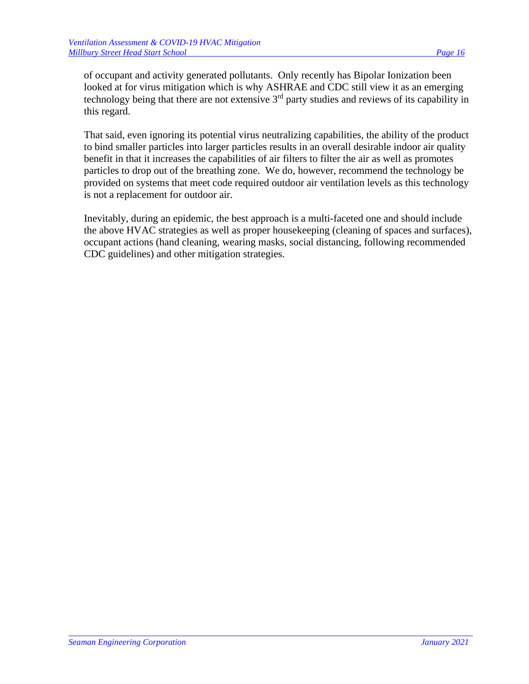of occupant and activity generated pollutants. Only recently has Bipolar Ionization been looked at for virus mitigation which is why ASHRAE and CDC still view it as an emerging technology being that there are not extensive  $3<sup>rd</sup>$  party studies and reviews of its capability in this regard.

That said, even ignoring its potential virus neutralizing capabilities, the ability of the product to bind smaller particles into larger particles results in an overall desirable indoor air quality benefit in that it increases the capabilities of air filters to filter the air as well as promotes particles to drop out of the breathing zone. We do, however, recommend the technology be provided on systems that meet code required outdoor air ventilation levels as this technology is not a replacement for outdoor air.

Inevitably, during an epidemic, the best approach is a multi-faceted one and should include the above HVAC strategies as well as proper housekeeping (cleaning of spaces and surfaces), occupant actions (hand cleaning, wearing masks, social distancing, following recommended CDC guidelines) and other mitigation strategies.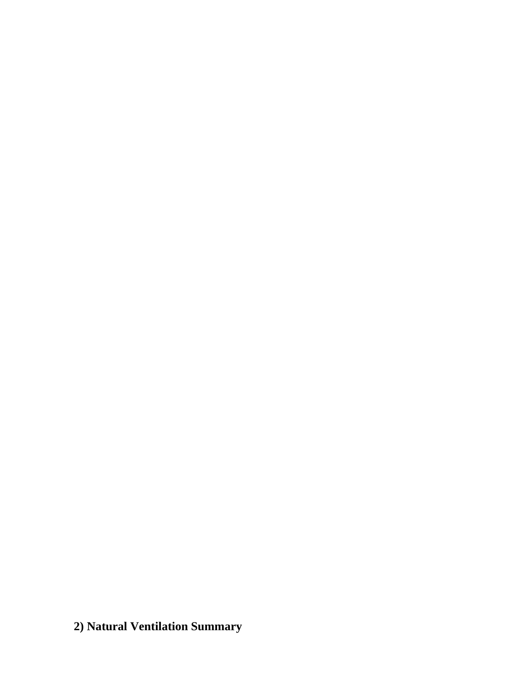**2) Natural Ventilation Summary**